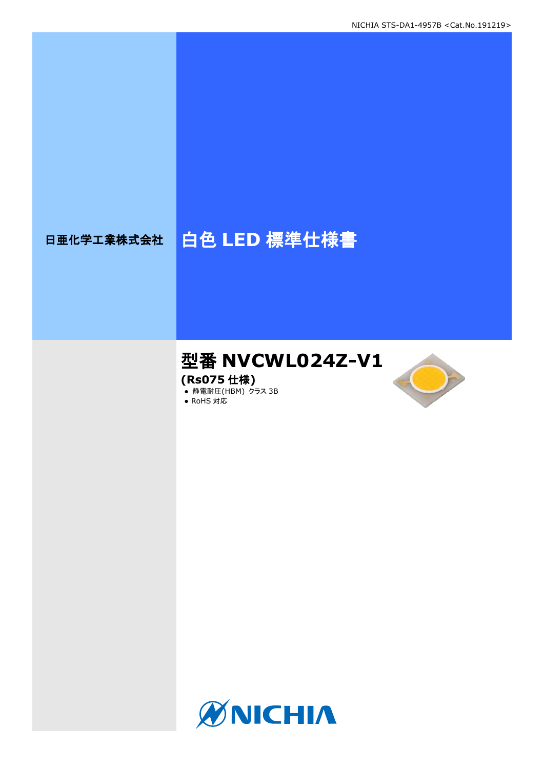# 日亜化学工業株式会社 | 白色 LED 標準仕様書

# 型番 **NVCWL024Z-V1**

**(Rs075** 仕様**)**

**● 静電耐圧(HBM) クラス 3B** ● RoHS 対応



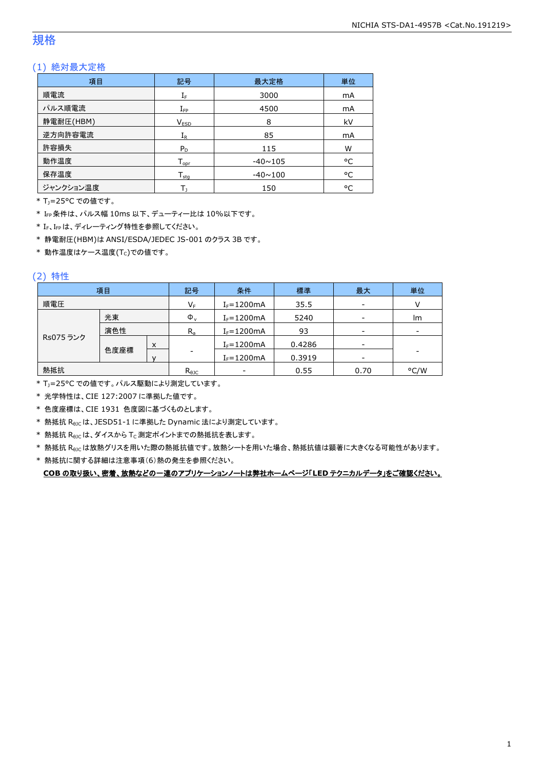## 規格

## (1) 絶対最大定格

| 項目        | 最大定格<br>記号                      |                | 単位 |
|-----------|---------------------------------|----------------|----|
| 順電流       | $I_F$                           | 3000           | mA |
| パルス順電流    | 4500<br>$I_{\mathsf{FP}}$       |                | mA |
| 静電耐圧(HBM) | V <sub>ESD</sub>                | 8              | kV |
| 逆方向許容電流   | $I_{R}$                         | 85             | mA |
| 許容損失      | $P_D$                           | 115            | W  |
| 動作温度      | $T_{\mathsf{opr}}$              | $-40 \sim 105$ | °C |
| 保存温度      | $T_{\rm stq}$<br>$-40 \sim 100$ |                | °C |
| ジャンクション温度 | 150                             |                | °C |

\* TJ=25°C での値です。

\* IFP条件は、パルス幅 10ms 以下、デューティー比は 10%以下です。

\* IF、IFpは、ディレーティング特性を参照してください。

\* 静電耐圧(HBM)は ANSI/ESDA/JEDEC JS-001 のクラス 3B です。

 $*$ 動作温度はケース温度(Tc)での値です。

## (2) 特性

|           | 項目   |   | 記号             | 条件                       | 標準     | 最大                       | 単位                       |
|-----------|------|---|----------------|--------------------------|--------|--------------------------|--------------------------|
| 順電圧       |      |   | $V_F$          | $I_F = 1200mA$           | 35.5   | $\overline{\phantom{a}}$ |                          |
|           | 光束   |   | $\Phi_{\rm v}$ | $I_F = 1200mA$           | 5240   | $\overline{\phantom{a}}$ | lm                       |
| 演色性       |      |   | $R_{a}$        | $I_F = 1200mA$           | 93     | $\overline{\phantom{a}}$ | $\overline{\phantom{a}}$ |
| Rs075 ランク |      | X |                | $I_F = 1200mA$           | 0.4286 | $\overline{\phantom{a}}$ |                          |
|           | 色度座標 |   |                | $I_F = 1200mA$           | 0.3919 | $\overline{\phantom{a}}$ |                          |
| 熱抵抗       |      |   | $R_{\theta$ JC | $\overline{\phantom{a}}$ | 0.55   | 0.70                     | °C/W                     |

\* T<sub>J</sub>=25°C での値です。パルス駆動により測定しています。

\* 光学特性は、CIE 127:2007 に準拠した値です。

\* 色度座標は、CIE 1931 色度図に基づくものとします。

\* 熱抵抗 RθJCは、JESD51-1 に準拠した Dynamic 法により測定しています。

 $*$  熱抵抗  $R_{\rm \theta JC}$ は、ダイスから Tc 測定ポイントまでの熱抵抗を表します。

\* 熱抵抗 R<sub>9JC</sub>は放熱グリスを用いた際の熱抵抗値です。放熱シートを用いた場合、熱抵抗値は顕著に大きくなる可能性があります。

\* 熱抵抗に関する詳細は注意事項(6)熱の発生を参照ください。

**COB** の取り扱い、密着、放熱などの一連のアプリケーションノートは弊社ホームページ「**LED** テクニカルデータ」をご確認ください。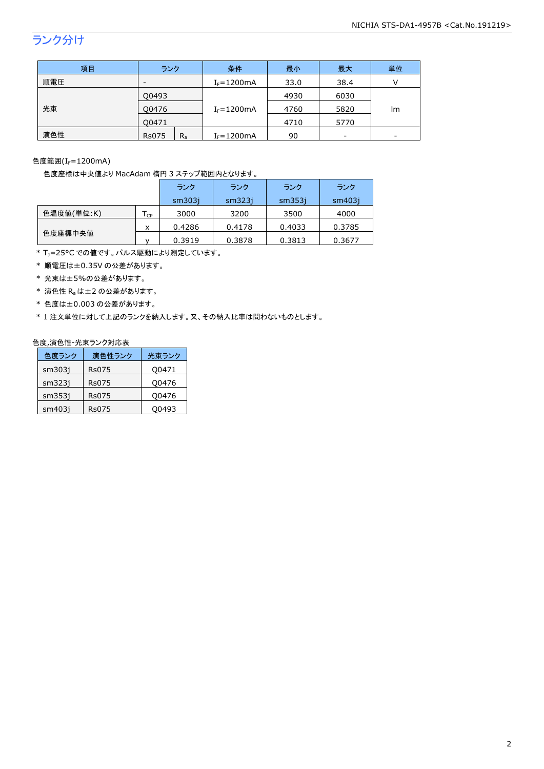## ランク分け

| 項目  | ランク                      |         | 条件             | 最小   | 最大   | 単位 |
|-----|--------------------------|---------|----------------|------|------|----|
| 順電圧 | $\overline{\phantom{a}}$ |         | $I_F = 1200mA$ | 33.0 | 38.4 |    |
|     | Q0493                    |         |                | 4930 | 6030 |    |
| 光束  | 00476                    |         | $I_F = 1200mA$ | 4760 | 5820 | lm |
|     | O0471                    |         |                | 4710 | 5770 |    |
| 演色性 | <b>Rs075</b>             | $R_{a}$ | $I_F = 1200mA$ | 90   | -    |    |

色度範囲(I<sub>F</sub>=1200mA)

#### 色度座標は中央値より MacAdam 楕円 3 ステップ範囲内となります。

|            |                | ランク    | ランク    | ランク    | ランク    |
|------------|----------------|--------|--------|--------|--------|
|            |                | sm303i | sm323i | sm353i | sm403i |
| 色温度値(単位:K) | C <sub>P</sub> | 3000   | 3200   | 3500   | 4000   |
|            | x              | 0.4286 | 0.4178 | 0.4033 | 0.3785 |
| 色度座標中央値    |                | 0.3919 | 0.3878 | 0.3813 | 0.3677 |

\* T<sub>J</sub>=25°C での値です。パルス駆動により測定しています。

\* 順電圧は±0.35V の公差があります。

\* 光束は±5%の公差があります。

\* 演色性 Raは±2 の公差があります。

\* 色度は±0.003 の公差があります。

\* 1 注文単位に対して上記のランクを納入します。又、その納入比率は問わないものとします。

#### 色度,演色性-光束ランク対応表

| 色度ランク  | 演色性ランク | 光東ランク |
|--------|--------|-------|
| sm303i | Rs075  | Q0471 |
| sm323i | Rs075  | Q0476 |
| sm353i | Rs075  | Q0476 |
| sm403i | Rs075  | 00493 |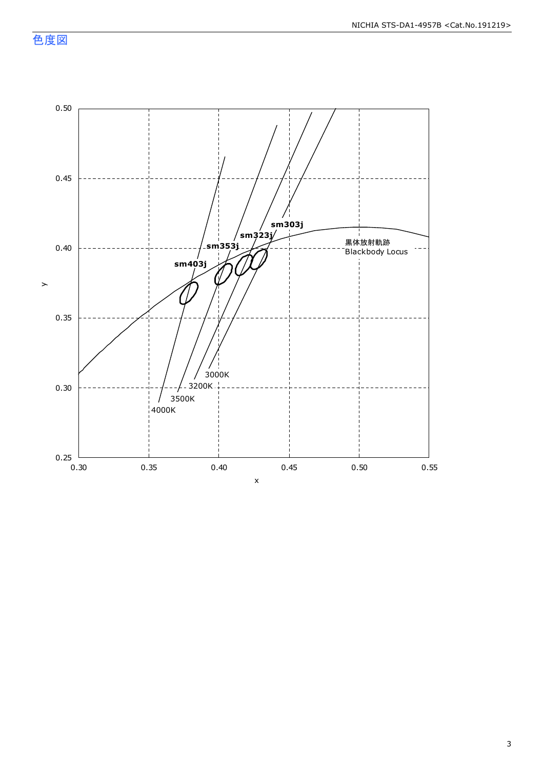色度図

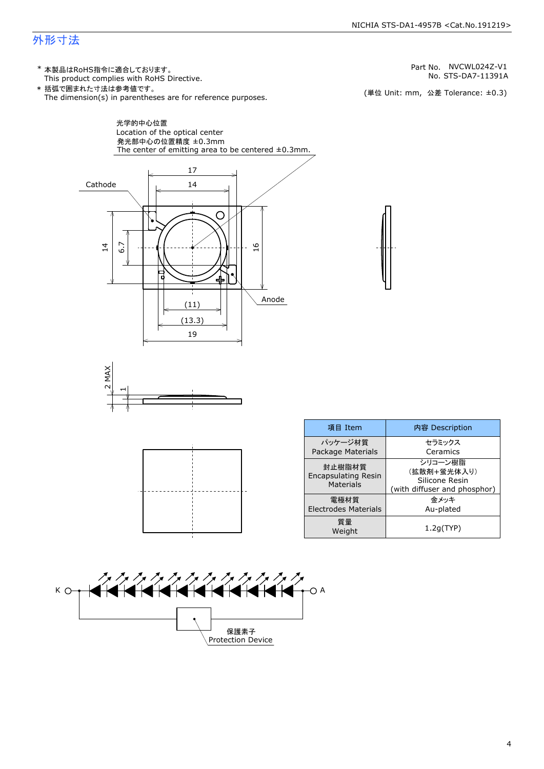## 外形寸法

(単位 Unit: mm) This product complies with RoHS Directive. \* 本製品はRoHS指令に適合しております。 (単位 Unit: mm, 公差 Tolerance: ±0.3) STS-DA7-11391A NVCWL024Z-V1 The dimension(s) in parentheses are for reference purposes. \* 括弧で囲まれた寸法は参考値です。 No. Part No.







| 項目 Item                                           | 内容 Description                                                           |  |
|---------------------------------------------------|--------------------------------------------------------------------------|--|
| パッケージ材質<br>Package Materials                      | セラミックス<br>Ceramics                                                       |  |
| 封止樹脂材質<br><b>Encapsulating Resin</b><br>Materials | シリコーン樹脂<br>(拡散剤+蛍光体入り)<br>Silicone Resin<br>(with diffuser and phosphor) |  |
| 雷極材質<br><b>Electrodes Materials</b>               | 金メッキ<br>Au-plated                                                        |  |
| 質量<br>Weight                                      | 1.2q(TYP)                                                                |  |

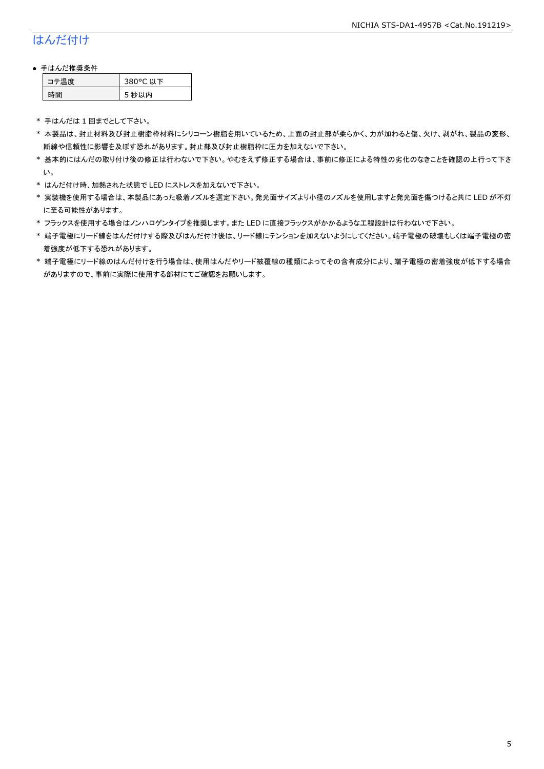## はんだ付け

### ● 手はんだ推奨条件

| ⊫■唐 | 380°C 以下 |
|-----|----------|
| 間   | 秒以内<br>∍ |

\* 手はんだは 1 回までとして下さい。

- \* 本製品は、封止材料及び封止樹脂枠材料にシリコーン樹脂を用いているため、上面の封止部が柔らかく、力が加わると傷、欠け、剥がれ、製品の変形、 断線や信頼性に影響を及ぼす恐れがあります。封止部及び封止樹脂枠に圧力を加えないで下さい。
- \* 基本的にはんだの取り付け後の修正は行わないで下さい。やむをえず修正する場合は、事前に修正による特性の劣化のなきことを確認の上行って下さ い。
- \* はんだ付け時、加熱された状態で LED にストレスを加えないで下さい。
- \* 実装機を使用する場合は、本製品にあった吸着ノズルを選定下さい。発光面サイズより小径のノズルを使用しますと発光面を傷つけると共に LED が不灯 に至る可能性があります。
- \* フラックスを使用する場合はノンハロゲンタイプを推奨します。また LED に直接フラックスがかかるような工程設計は行わないで下さい。
- \* 端子電極にリード線をはんだ付けする際及びはんだ付け後は、リード線にテンションを加えないようにしてください。端子電極の破壊もしくは端子電極の密 着強度が低下する恐れがあります。
- \* 端子電極にリード線のはんだ付けを行う場合は、使用はんだやリード被覆線の種類によってその含有成分により、端子電極の密着強度が低下する場合 がありますので、事前に実際に使用する部材にてご確認をお願いします。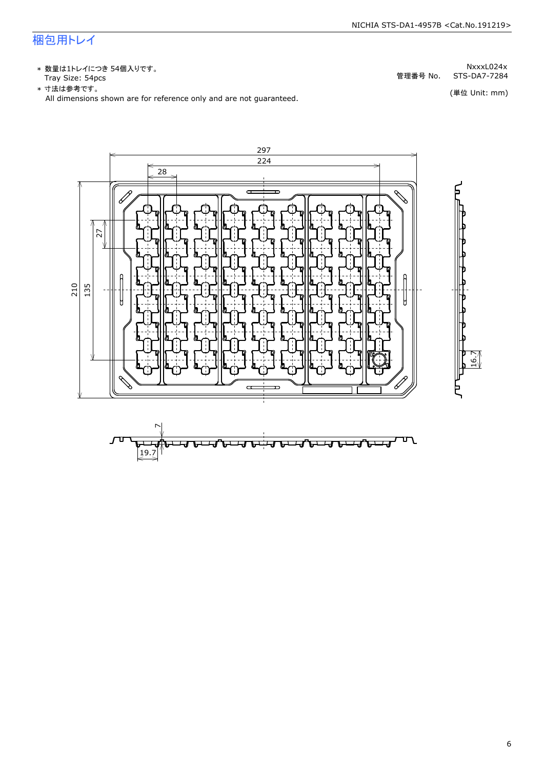## 梱包用トレイ

\* 数量は1トレイにつき 54個入りです。<br>Tray Size: 54pcs

\* 数量は1トレイにつき 54個入りです。<br>Tray Size: 54pcs<br>\* 寸法は参考です。<br>All dimensions shown are for reference only and are not guaranteed. \* づはは はいいい (単位 Unit: mm)<br>All dimensions shown are for reference only and are not guaranteed.



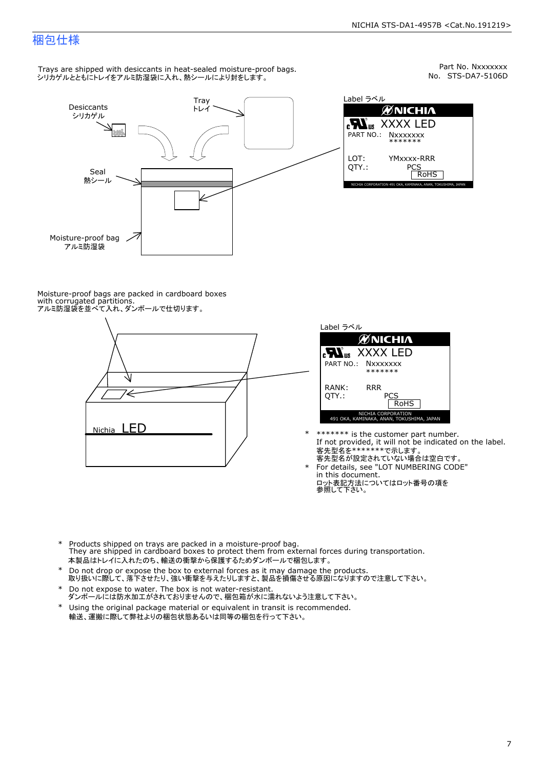## 梱包仕様

Trays are shipped with desiccants in heat-sealed moisture-proof bags. シリカゲルとともにトレイをアルミ防湿袋に入れ、熱シールにより封をします。



Part No. Nxxxxxxx<br>No. STS-DA7-5106D



Moisture-proof bags are packed in cardboard boxes with corrugated partitions. アルミ防湿袋を並べて入れ、ダンボールで仕切ります。





- \* \*\*\*\*\*\*\* is the customer part number.<br>If not provided, it will not be indicated on the label.<br>客先型名が設定されていない場合は空白です。
	- For details, see "LOT NUMBERING CODE"<br>in this document.<br>ロット表記方法についてはロット番号の項を<br>参照して下さい。
- \* Products shipped on trays are packed in a moisture-proof bag.<br>They are shipped in cardboard boxes to protect them from external forces du<br>本製品はトレイに入れたのち、輸送の衝撃から保護するためダンボールで梱包します。<br>\* Do not drop or expose the box to exter Products shipped on trays are packed in a moisture-proof bag. They are shipped in cardboard boxes to protect them from external forces during transportation. 本製品はトレイに入れたのち、輸送の衝撃から保護するためダンボールで梱包します。
- Do not drop or expose the box to external forces as it may damage the products. \*
- 取り扱いに際して、落下させたり、強い衝撃を与えたりしますと、製品を損傷させる原因になりますので注意して下さい。 Do not expose to water. The box is not water-resistant. \*
- ダンボールには防水加工がされておりませんので、梱包箱が水に濡れないよう注意して下さい。 \*
- 輸送、運搬に際して弊社よりの梱包状態あるいは同等の梱包を行って下さい。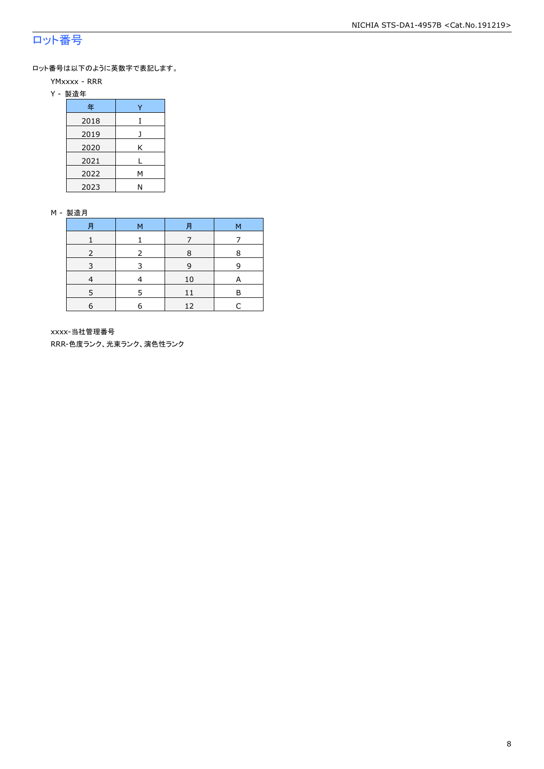## ロット番号

ロット番号は以下のように英数字で表記します。

- YMxxxx RRR
- Y 製造年

| 年    |   |  |  |  |
|------|---|--|--|--|
| 2018 | T |  |  |  |
| 2019 |   |  |  |  |
| 2020 | Κ |  |  |  |
| 2021 |   |  |  |  |
| 2022 | М |  |  |  |
| 2023 | N |  |  |  |

#### M - 製造月

| 月 | M | 月  | М |
|---|---|----|---|
|   |   |    |   |
|   |   | 8  | 8 |
|   |   | 9  | 9 |
|   |   | 10 | A |
|   | 5 | 11 | R |
| 6 | 6 | 12 |   |

xxxx-当社管理番号

RRR-色度ランク、光束ランク、演色性ランク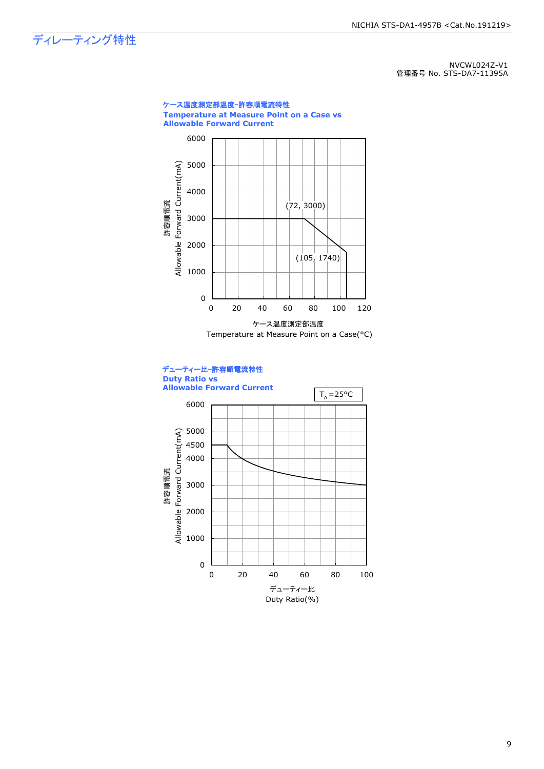ディレーティング特性

NVCWL024Z-V1 管理番号 No. STS-DA7-11395A



Duty Ratio(%)

9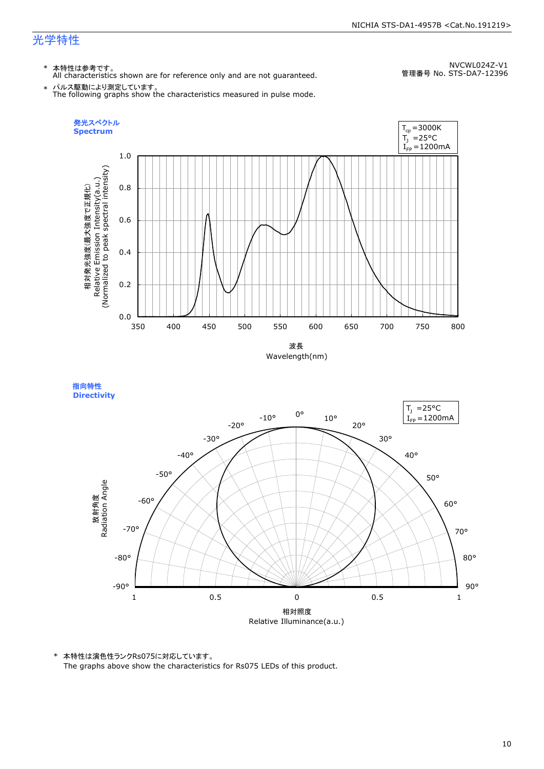## 光学特性

\* 本特性は参考です。 All characteristics shown are for reference only and are not guaranteed.

NVCWL024Z-V1 管理番号 No. STS-DA7-12396

\* パルス駆動により測定しています。 The following graphs show the characteristics measured in pulse mode.





\* 本特性は演色性ランクRs075に対応しています。

The graphs above show the characteristics for Rs075 LEDs of this product.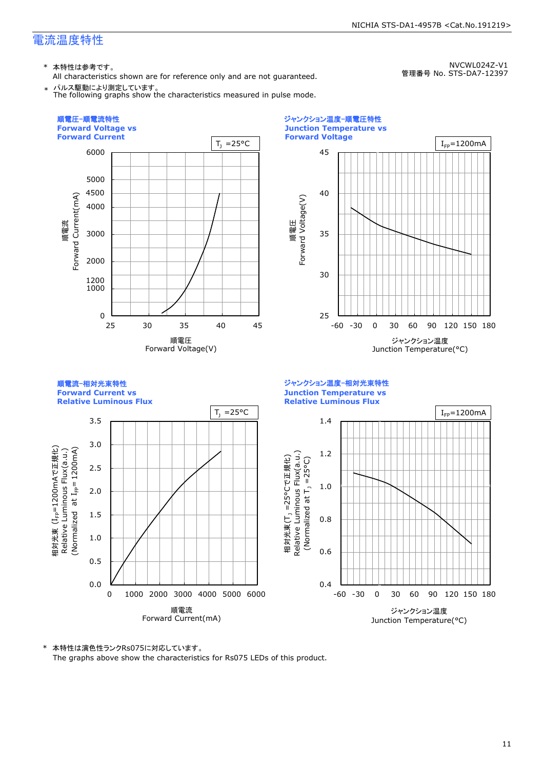## 電流温度特性

\* 本特性は参考です。

All characteristics shown are for reference only and are not guaranteed.

NVCWL024Z-V1 管理番号 No. STS-DA7-12397





\* 本特性は演色性ランクRs075に対応しています。

The graphs above show the characteristics for Rs075 LEDs of this product.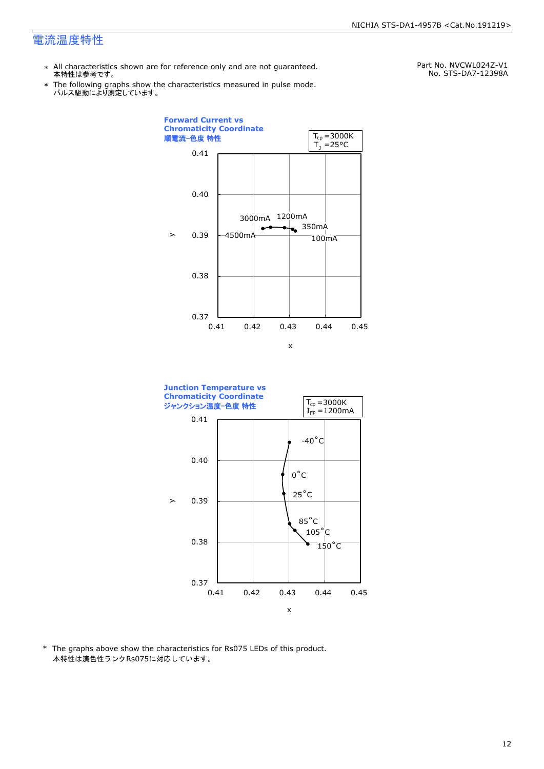## 電流温度特性

- \* All characteristics shown are for reference only and are not guaranteed. 本特性は参考です。
- \* Ine following graphs show tr<br>パルス駆動により測定しています。 The following graphs show the characteristics measured in pulse mode.

Part No. NVCWL024Z-V1 No. STS-DA7-12398A





\* The graphs above show the characteristics for Rs075 LEDs of this product. 本特性は演色性ランクRs075に対応しています。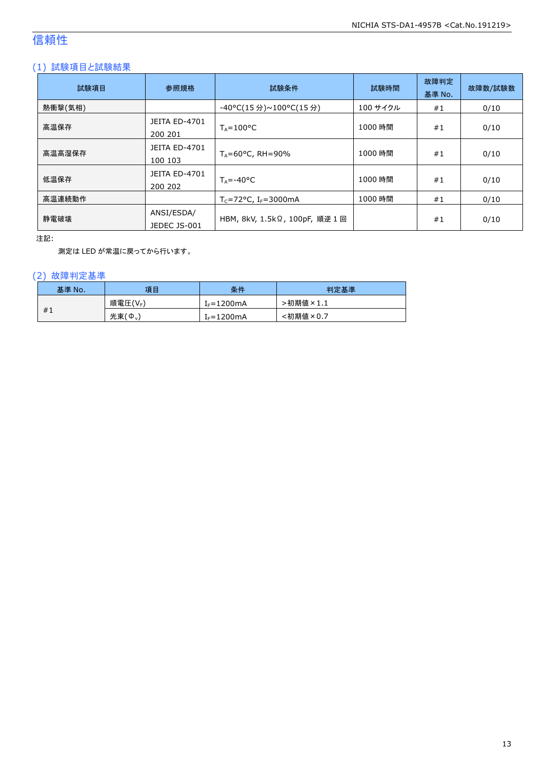## 信頼性

## (1) 試験項目と試験結果

| 試験項目    | 参照規格                            | 試験条件                           | 試験時間     | 故障判定<br>基準 No. | 故障数/試験数 |
|---------|---------------------------------|--------------------------------|----------|----------------|---------|
| 熱衝撃(気相) |                                 | -40°C(15 分)~100°C(15 分)        | 100 サイクル | #1             | 0/10    |
| 高温保存    | <b>JEITA ED-4701</b><br>200 201 | $T_A = 100^{\circ}C$           | 1000 時間  | #1             | 0/10    |
| 高温高湿保存  | <b>JEITA ED-4701</b><br>100 103 | $T_A = 60^{\circ}$ C, RH = 90% | 1000 時間  | #1             | 0/10    |
| 低温保存    | JEITA ED-4701<br>200 202        | $T_{\text{A}} = -40^{\circ}C$  | 1000 時間  | #1             | 0/10    |
| 高温連続動作  |                                 | $T_c = 72$ °C, $I_F = 3000$ mA | 1000 時間  | #1             | 0/10    |
| 静電破壊    | ANSI/ESDA/<br>JEDEC JS-001      | HBM, 8kV, 1.5kΩ, 100pF, 順逆 1回  |          | #1             | 0/10    |

注記:

測定は LED が常温に戻ってから行います。

## (2) 故障判定基準

| 基準 No. | 項目                    | 条件              | 判定基準                              |
|--------|-----------------------|-----------------|-----------------------------------|
|        | 順電圧(VF)               | $I_F = 1200$ mA | >初期値<br>$\overline{5} \times 1.1$ |
| #1     | 光束(<br>$\phi_{\rm v}$ | $f_F = 1200$ mA | <初期値×0.7                          |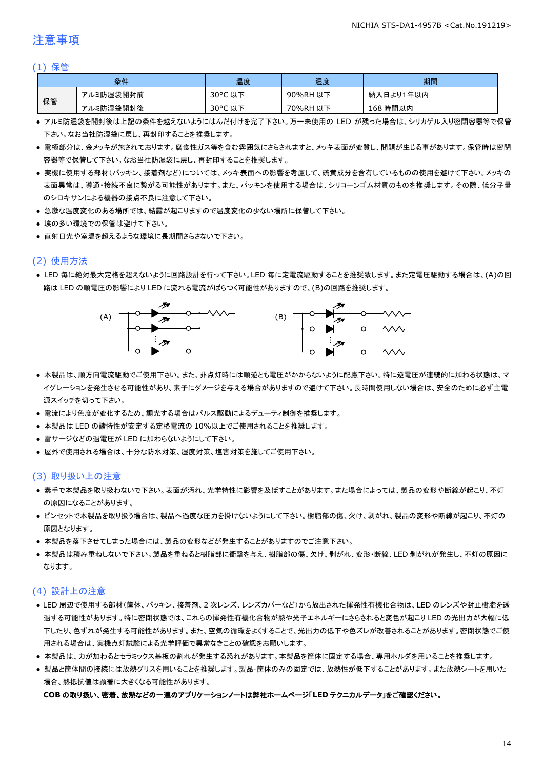## 注意事項

#### (1) 保管

|    | 条件        | 温度      | 湿度       | 期間        |
|----|-----------|---------|----------|-----------|
|    | アルミ防湿袋開封前 | 30°C 以下 | 90%RH 以下 | 納入日より1年以内 |
| 保管 | アルミ防湿袋開封後 | 30°C 以下 | 70%RH 以下 | 168 時間以内  |

- アルミ防湿袋を開封後は上記の条件を越えないようにはんだ付けを完了下さい。万一未使用の LED が残った場合は、シリカゲル入り密閉容器等で保管 下さい。なお当社防湿袋に戻し、再封印することを推奨します。
- 電極部分は、金メッキが施されております。腐食性ガス等を含む雰囲気にさらされますと、メッキ表面が変質し、問題が生じる事があります。保管時は密閉 容器等で保管して下さい。なお当社防湿袋に戻し、再封印することを推奨します。
- 実機に使用する部材(パッキン、接着剤など)については、メッキ表面への影響を考慮して、硫黄成分を含有しているものの使用を避けて下さい。メッキの 表面異常は、導通・接続不良に繋がる可能性があります。また、パッキンを使用する場合は、シリコーンゴム材質のものを推奨します。その際、低分子量 のシロキサンによる機器の接点不良に注意して下さい。
- 急激な温度変化のある場所では、結露が起こりますので温度変化の少ない場所に保管して下さい。
- 埃の多い環境での保管は避けて下さい。
- 直射日光や室温を超えるような環境に長期間さらさないで下さい。

## (2) 使用方法

● LED 毎に絶対最大定格を超えないように回路設計を行って下さい。LED 毎に定電流駆動することを推奨致します。また定電圧駆動する場合は、(A)の回 路は LED の順電圧の影響により LED に流れる電流がばらつく可能性がありますので、(B)の回路を推奨します。



- 本製品は、順方向電流駆動でご使用下さい。また、非点灯時には順逆とも電圧がかからないように配慮下さい。特に逆電圧が連続的に加わる状態は、マ イグレーションを発生させる可能性があり、素子にダメージを与える場合がありますので避けて下さい。長時間使用しない場合は、安全のために必ず主電 源スイッチを切って下さい。
- 電流により色度が変化するため、調光する場合はパルス駆動によるデューティ制御を推奨します。
- 本製品は LED の諸特性が安定する定格電流の 10%以上でご使用されることを推奨します。
- 雷サージなどの過電圧が LED に加わらないようにして下さい。
- 屋外で使用される場合は、十分な防水対策、湿度対策、塩害対策を施してご使用下さい。

### (3) 取り扱い上の注意

- 素手で本製品を取り扱わないで下さい。表面が汚れ、光学特性に影響を及ぼすことがあります。また場合によっては、製品の変形や断線が起こり、不灯 の原因になることがあります。
- ピンセットで本製品を取り扱う場合は、製品へ過度な圧力を掛けないようにして下さい。樹脂部の傷、欠け、剥がれ、製品の変形や断線が起こり、不灯の 原因となります。
- 本製品を落下させてしまった場合には、製品の変形などが発生することがありますのでご注意下さい。
- 本製品は積み重ねしないで下さい。製品を重ねると樹脂部に衝撃を与え、樹脂部の傷、欠け、剥がれ、変形・断線、LED 剥がれが発生し、不灯の原因に なります。

## (4) 設計上の注意

- LED 周辺で使用する部材(筐体、パッキン、接着剤、2 次レンズ、レンズカバーなど)から放出された揮発性有機化合物は、LED のレンズや封止樹脂を透 過する可能性があります。特に密閉状態では、これらの揮発性有機化合物が熱や光子エネルギーにさらされると変色が起こり LED の光出力が大幅に低 下したり、色ずれが発生する可能性があります。また、空気の循環をよくすることで、光出力の低下や色ズレが改善されることがあります。密閉状態でご使 用される場合は、実機点灯試験による光学評価で異常なきことの確認をお願いします。
- 本製品は、力が加わるとセラミックス基板の割れが発生する恐れがあります。本製品を筐体に固定する場合、専用ホルダを用いることを推奨します。
- 製品と筐体間の接続には放熱グリスを用いることを推奨します。製品・筐体のみの固定では、放熱性が低下することがあります。また放熱シートを用いた 場合、熱抵抗値は顕著に大きくなる可能性があります。

#### **COB** の取り扱い、密着、放熱などの一連のアプリケーションノートは弊社ホームページ「**LED** テクニカルデータ」をご確認ください。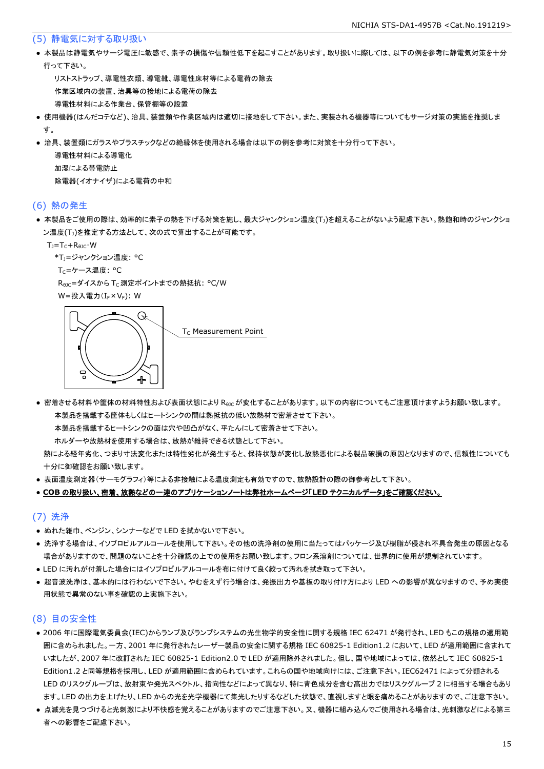#### (5) 静電気に対する取り扱い

● 本製品は静電気やサージ電圧に敏感で、素子の損傷や信頼性低下を起こすことがあります。取り扱いに際しては、以下の例を参考に静電気対策を十分 行って下さい。

 リストストラップ、導電性衣類、導電靴、導電性床材等による電荷の除去 作業区域内の装置、治具等の接地による電荷の除去 導電性材料による作業台、保管棚等の設置

- 使用機器(はんだコテなど)、治具、装置類や作業区域内は適切に接地をして下さい。また、実装される機器等についてもサージ対策の実施を推奨しま す。
- 治具、装置類にガラスやプラスチックなどの絶縁体を使用される場合は以下の例を参考に対策を十分行って下さい。

 導電性材料による導電化 加湿による帯電防止 除電器(イオナイザ)による電荷の中和

#### (6) 熱の発生

● 本製品をご使用の際は、効率的に素子の熱を下げる対策を施し、最大ジャンクション温度(T」)を超えることがないよう配慮下さい。熱飽和時のジャンクショ ン温度(T<sub>J</sub>)を推定する方法として、次の式で算出することが可能です。

 $T_J = T_C + R_{\theta JC} \cdot W$ 

```
*T<sub>1</sub>=ジャンクション温度: °C
```
T<sub>C</sub>=ケース温度: °C

R<sub>0JC</sub>=ダイスから T<sub>C</sub> 測定ポイントまでの熱抵抗: °C/W

W=投入電力(I<sub>F</sub>×V<sub>F</sub>): W



● 密着させる材料や筐体の材料特性および表面状態により R<sub>θIC</sub>が変化することがあります。以下の内容についてもご注意頂けますようお願い致します。 本製品を搭載する筐体もしくはヒートシンクの間は熱抵抗の低い放熱材で密着させて下さい。

本製品を搭載するヒートシンクの面は穴や凹凸がなく、平たんにして密着させて下さい。

ホルダーや放熱材を使用する場合は、放熱が維持できる状態として下さい。

 熱による経年劣化、つまり寸法変化または特性劣化が発生すると、保持状態が変化し放熱悪化による製品破損の原因となりますので、信頼性についても 十分に御確認をお願い致します。

● 表面温度測定器(サーモグラフィ)等による非接触による温度測定も有効ですので、放熱設計の際の御参考として下さい。

#### ● **COB** の取り扱い、密着、放熱などの一連のアプリケーションノートは弊社ホームページ「**LED** テクニカルデータ」をご確認ください。

#### (7) 洗浄

- ぬれた雑巾、ベンジン、シンナーなどで LED を拭かないで下さい。
- 洗浄する場合は、イソプロピルアルコールを使用して下さい。その他の洗浄剤の使用に当たってはパッケージ及び樹脂が侵され不具合発生の原因となる 場合がありますので、問題のないことを十分確認の上での使用をお願い致します。フロン系溶剤については、世界的に使用が規制されています。
- LED に汚れが付着した場合にはイソプロピルアルコールを布に付けて良く絞って汚れを拭き取って下さい。
- 超音波洗浄は、基本的には行わないで下さい。やむをえず行う場合は、発振出力や基板の取り付け方により LED への影響が異なりますので、予め実使 用状態で異常のない事を確認の上実施下さい。

## (8) 目の安全性

- 2006 年に国際電気委員会(IEC)からランプ及びランプシステムの光生物学的安全性に関する規格 IEC 62471 が発行され、LED もこの規格の適用範 囲に含められました。一方、2001 年に発行されたレーザー製品の安全に関する規格 IEC 60825-1 Edition1.2 において、LED が適用範囲に含まれて いましたが、2007 年に改訂された IEC 60825-1 Edition2.0 で LED が適用除外されました。但し、国や地域によっては、依然として IEC 60825-1 Edition1.2 と同等規格を採用し、LED が適用範囲に含められています。これらの国や地域向けには、ご注意下さい。IEC62471 によって分類される LED のリスクグループは、放射束や発光スペクトル、指向性などによって異なり、特に青色成分を含む高出力ではリスクグループ 2 に相当する場合もあり ます。LED の出力を上げたり、LED からの光を光学機器にて集光したりするなどした状態で、直視しますと眼を痛めることがありますので、ご注意下さい。
- 点滅光を見つづけると光刺激により不快感を覚えることがありますのでご注意下さい。又、機器に組み込んでご使用される場合は、光刺激などによる第三 者への影響をご配慮下さい。